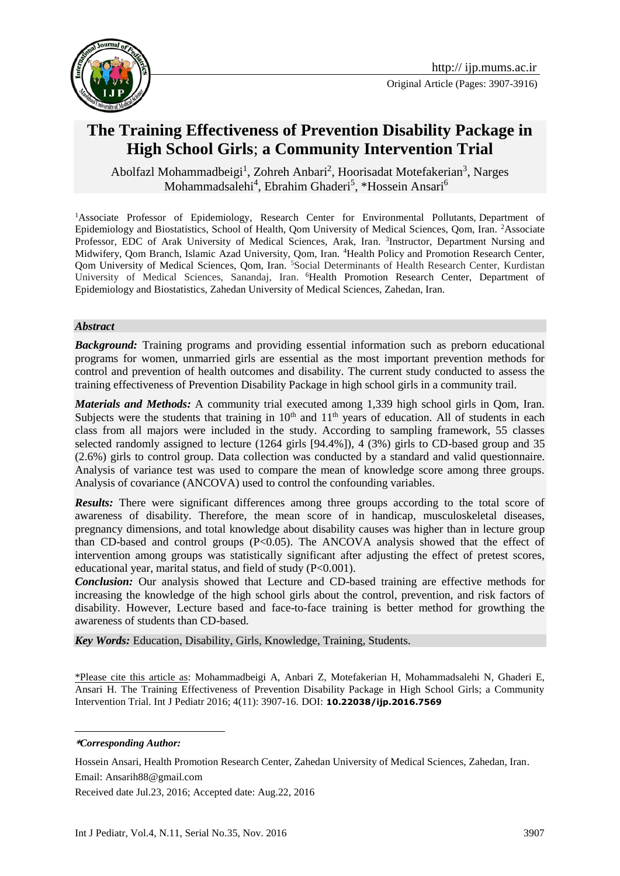



# **The Training Effectiveness of Prevention Disability Package in High School Girls**; **a Community Intervention Trial**

Abolfazl Mohammadbeigi<sup>1</sup>, Zohreh Anbari<sup>2</sup>, Hoorisadat Motefakerian<sup>3</sup>, Narges Mohammadsalehi<sup>4</sup>, Ebrahim Ghaderi<sup>5</sup>, \*Hossein Ansari<sup>6</sup>

<sup>1</sup>Associate Professor of Epidemiology, Research Center for Environmental Pollutants, Department of Epidemiology and Biostatistics, School of Health, Qom University of Medical Sciences, Qom, Iran. <sup>2</sup>Associate Professor, EDC of Arak University of Medical Sciences, Arak, Iran. <sup>3</sup>Instructor, Department Nursing and Midwifery, Qom Branch, Islamic Azad University, Qom, Iran. <sup>4</sup>Health Policy and Promotion Research Center, Qom University of Medical Sciences, Qom, Iran. <sup>5</sup>Social Determinants of Health Research Center, Kurdistan University of Medical Sciences, Sanandaj, Iran. <sup>6</sup>Health Promotion Research Center, Department of Epidemiology and Biostatistics, Zahedan University of Medical Sciences, Zahedan, Iran.

#### *Abstract*

**Background:** Training programs and providing essential information such as preborn educational programs for women, unmarried girls are essential as the most important prevention methods for control and prevention of health outcomes and disability. The current study conducted to assess the training effectiveness of Prevention Disability Package in high school girls in a community trail.

*Materials and Methods:* A community trial executed among 1,339 high school girls in Qom, Iran. Subjects were the students that training in  $10<sup>th</sup>$  and  $11<sup>th</sup>$  years of education. All of students in each class from all majors were included in the study. According to sampling framework, 55 classes selected randomly assigned to lecture (1264 girls [94.4%]), 4 (3%) girls to CD-based group and 35 (2.6%) girls to control group. Data collection was conducted by a standard and valid questionnaire. Analysis of variance test was used to compare the mean of knowledge score among three groups. Analysis of covariance (ANCOVA) used to control the confounding variables.

**Results:** There were significant differences among three groups according to the total score of awareness of disability. Therefore, the mean score of in handicap, musculoskeletal diseases, pregnancy dimensions, and total knowledge about disability causes was higher than in lecture group than CD-based and control groups (P<0.05). The ANCOVA analysis showed that the effect of intervention among groups was statistically significant after adjusting the effect of pretest scores, educational year, marital status, and field of study (P<0.001).

*Conclusion:* Our analysis showed that Lecture and CD-based training are effective methods for increasing the knowledge of the high school girls about the control, prevention, and risk factors of disability. However, Lecture based and face-to-face training is better method for growthing the awareness of students than CD-based.

*Key Words:* Education, Disability, Girls, Knowledge, Training, Students.

\*Please cite this article as: Mohammadbeigi A, Anbari Z, Motefakerian H, Mohammadsalehi N, Ghaderi E, Ansari H. The Training Effectiveness of Prevention Disability Package in High School Girls; a Community Intervention Trial. Int J Pediatr 2016; 4(11): 3907-16. DOI: **10.22038/ijp.2016.7569**

1 **\****Corresponding Author:*

Hossein Ansari, Health Promotion Research Center, Zahedan University of Medical Sciences, Zahedan, Iran. Email: [Ansarih88@gmail.com](mailto:Ansarih88@gmail.com)

Received date Jul.23, 2016; Accepted date: Aug.22, 2016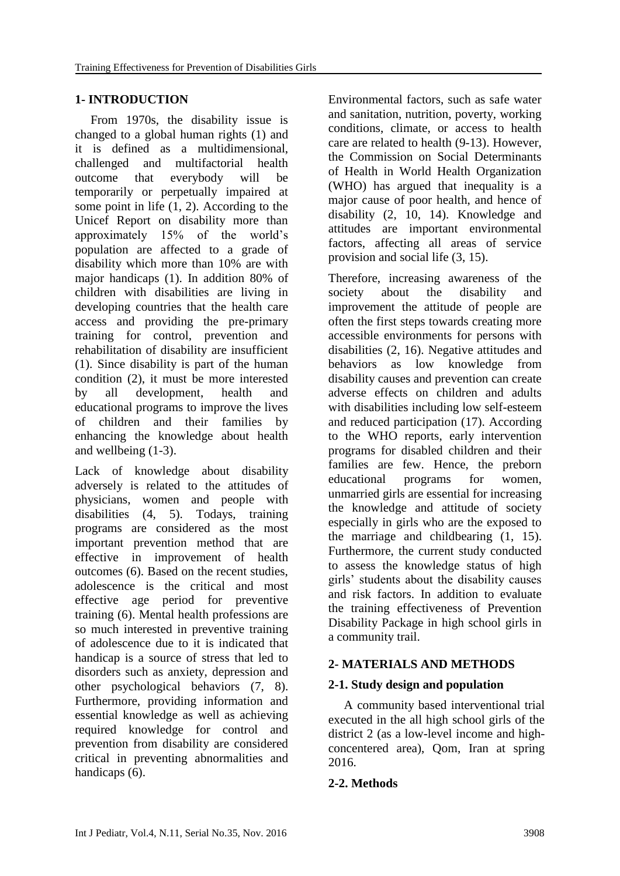## **1- INTRODUCTION**

 From 1970s, the disability issue is changed to a global human rights (1) and it is defined as a multidimensional, challenged and multifactorial health outcome that everybody will be temporarily or perpetually impaired at some point in life (1, 2). According to the Unicef Report on disability more than approximately 15% of the world's population are affected to a grade of disability which more than 10% are with major handicaps (1). In addition 80% of children with disabilities are living in developing countries that the health care access and providing the pre-primary training for control, prevention and rehabilitation of disability are insufficient (1). Since disability is part of the human condition (2), it must be more interested by all development, health and educational programs to improve the lives of children and their families by enhancing the knowledge about health and wellbeing (1-3).

Lack of knowledge about disability adversely is related to the attitudes of physicians, women and people with disabilities (4, 5). Todays, training programs are considered as the most important prevention method that are effective in improvement of health outcomes (6). Based on the recent studies, adolescence is the critical and most effective age period for preventive training (6). Mental health professions are so much interested in preventive training of adolescence due to it is indicated that handicap is a source of stress that led to disorders such as anxiety, depression and other psychological behaviors (7, 8). Furthermore, providing information and essential knowledge as well as achieving required knowledge for control and prevention from disability are considered critical in preventing abnormalities and handicaps  $(6)$ .

Environmental factors, such as safe water and sanitation, nutrition, poverty, working conditions, climate, or access to health care are related to health (9-13). However, the Commission on Social Determinants of Health in World Health Organization (WHO) has argued that inequality is a major cause of poor health, and hence of disability (2, 10, 14). Knowledge and attitudes are important environmental factors, affecting all areas of service provision and social life (3, 15).

Therefore, increasing awareness of the society about the disability and improvement the attitude of people are often the first steps towards creating more accessible environments for persons with disabilities (2, 16). Negative attitudes and behaviors as low knowledge from disability causes and prevention can create adverse effects on children and adults with disabilities including low self-esteem and reduced participation (17). According to the WHO reports, early intervention programs for disabled children and their families are few. Hence, the preborn educational programs for women, unmarried girls are essential for increasing the knowledge and attitude of society especially in girls who are the exposed to the marriage and childbearing (1, 15). Furthermore, the current study conducted to assess the knowledge status of high girls' students about the disability causes and risk factors. In addition to evaluate the training effectiveness of Prevention Disability Package in high school girls in a community trail.

## **2- MATERIALS AND METHODS**

## **2-1. Study design and population**

 A community based interventional trial executed in the all high school girls of the district 2 (as a low-level income and highconcentered area), Qom, Iran at spring 2016.

## **2-2. Methods**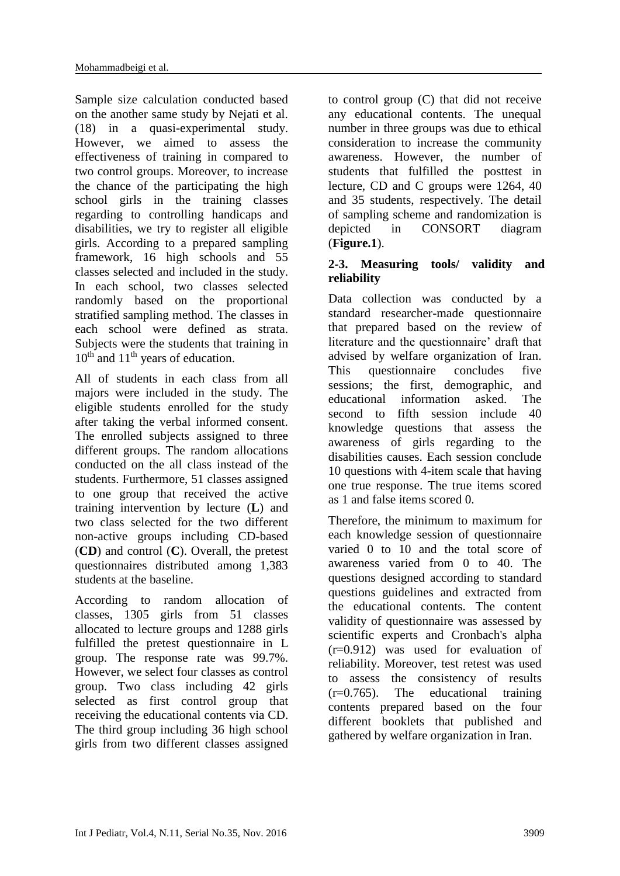Sample size calculation conducted based on the another same study by Nejati et al. (18) in a quasi-experimental study. However, we aimed to assess the effectiveness of training in compared to two control groups. Moreover, to increase the chance of the participating the high school girls in the training classes regarding to controlling handicaps and disabilities, we try to register all eligible girls. According to a prepared sampling framework, 16 high schools and 55 classes selected and included in the study. In each school, two classes selected randomly based on the proportional stratified sampling method. The classes in each school were defined as strata. Subjects were the students that training in  $10<sup>th</sup>$  and  $11<sup>th</sup>$  years of education.

All of students in each class from all majors were included in the study. The eligible students enrolled for the study after taking the verbal informed consent. The enrolled subjects assigned to three different groups. The random allocations conducted on the all class instead of the students. Furthermore, 51 classes assigned to one group that received the active training intervention by lecture (**L**) and two class selected for the two different non-active groups including CD-based (**CD**) and control (**C**). Overall, the pretest questionnaires distributed among 1,383 students at the baseline.

According to random allocation of classes, 1305 girls from 51 classes allocated to lecture groups and 1288 girls fulfilled the pretest questionnaire in L group. The response rate was 99.7%. However, we select four classes as control group. Two class including 42 girls selected as first control group that receiving the educational contents via CD. The third group including 36 high school girls from two different classes assigned to control group (C) that did not receive any educational contents. The unequal number in three groups was due to ethical consideration to increase the community awareness. However, the number of students that fulfilled the posttest in lecture, CD and C groups were 1264, 40 and 35 students, respectively. The detail of sampling scheme and randomization is depicted in CONSORT diagram (**Figure.1**).

### **2-3. Measuring tools/ validity and reliability**

Data collection was conducted by a standard researcher-made questionnaire that prepared based on the review of literature and the questionnaire' draft that advised by welfare organization of Iran. This questionnaire concludes five sessions; the first, demographic, and educational information asked. The second to fifth session include 40 knowledge questions that assess the awareness of girls regarding to the disabilities causes. Each session conclude 10 questions with 4-item scale that having one true response. The true items scored as 1 and false items scored 0.

Therefore, the minimum to maximum for each knowledge session of questionnaire varied 0 to 10 and the total score of awareness varied from 0 to 40. The questions designed according to standard questions guidelines and extracted from the educational contents. The content validity of questionnaire was assessed by scientific experts and Cronbach's alpha (r=0.912) was used for evaluation of reliability. Moreover, test retest was used to assess the consistency of results (r=0.765). The educational training contents prepared based on the four different booklets that published and gathered by welfare organization in Iran.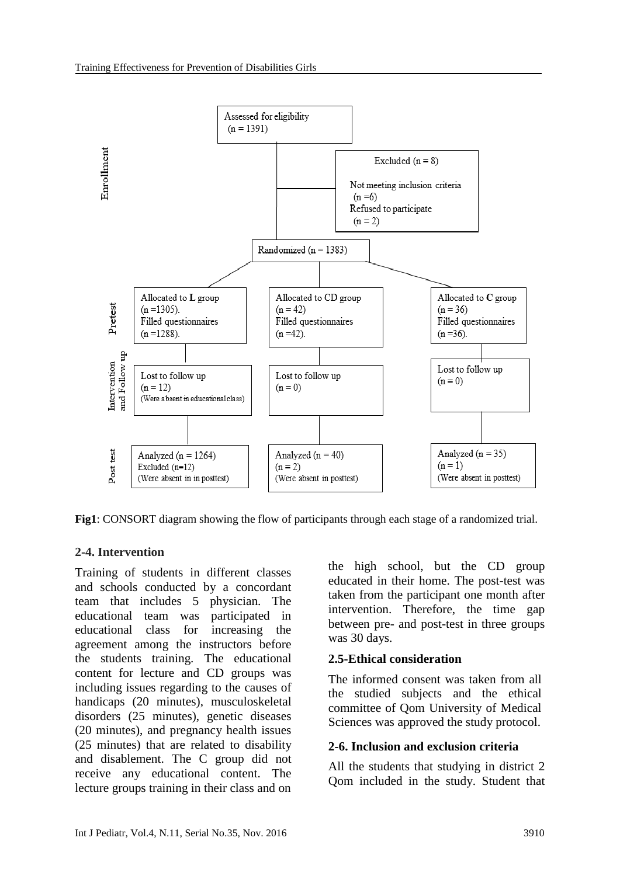

**Fig1**: CONSORT diagram showing the flow of participants through each stage of a randomized trial.

### **2-4. Intervention**

Training of students in different classes and schools conducted by a concordant team that includes 5 physician. The educational team was participated in educational class for increasing the agreement among the instructors before the students training. The educational content for lecture and CD groups was including issues regarding to the causes of handicaps (20 minutes), musculoskeletal disorders (25 minutes), genetic diseases (20 minutes), and pregnancy health issues (25 minutes) that are related to disability and disablement. The C group did not receive any educational content. The lecture groups training in their class and on

the high school, but the CD group educated in their home. The post-test was taken from the participant one month after intervention. Therefore, the time gap between pre- and post-test in three groups was 30 days.

#### **2.5-Ethical consideration**

The informed consent was taken from all the studied subjects and the ethical committee of Qom University of Medical Sciences was approved the study protocol.

#### **2-6. Inclusion and exclusion criteria**

All the students that studying in district 2 Qom included in the study. Student that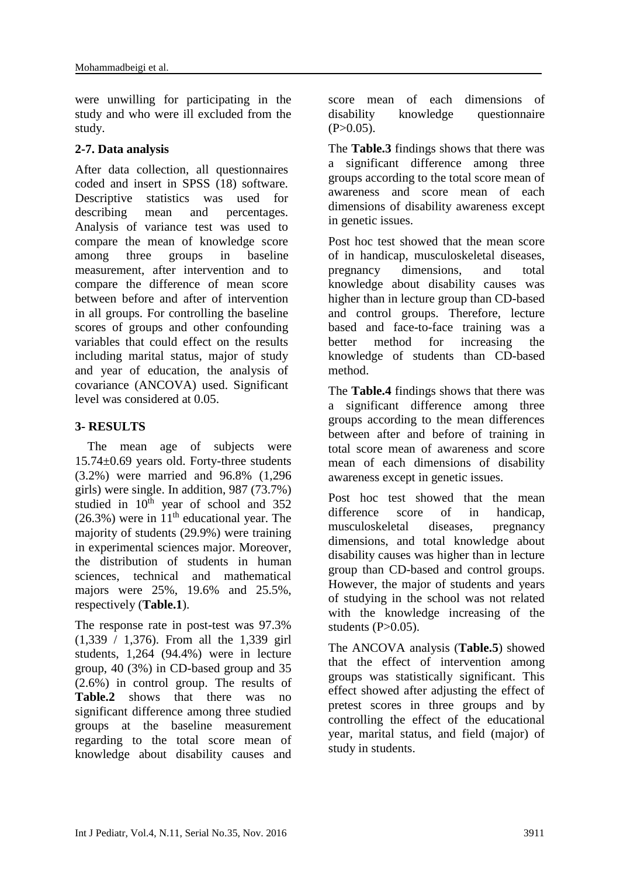were unwilling for participating in the study and who were ill excluded from the study.

### **2-7. Data analysis**

After data collection, all questionnaires coded and insert in SPSS (18) software. Descriptive statistics was used for describing mean and percentages. Analysis of variance test was used to compare the mean of knowledge score among three groups in baseline measurement, after intervention and to compare the difference of mean score between before and after of intervention in all groups. For controlling the baseline scores of groups and other confounding variables that could effect on the results including marital status, major of study and year of education, the analysis of covariance (ANCOVA) used. Significant level was considered at 0.05.

## **3- RESULTS**

 The mean age of subjects were 15.74±0.69 years old. Forty-three students (3.2%) were married and 96.8% (1,296 girls) were single. In addition, 987 (73.7%) studied in  $10<sup>th</sup>$  year of school and 352  $(26.3\%)$  were in 11<sup>th</sup> educational year. The majority of students (29.9%) were training in experimental sciences major. Moreover, the distribution of students in human sciences, technical and mathematical majors were 25%, 19.6% and 25.5%, respectively (**Table.1**).

The response rate in post-test was 97.3% (1,339 / 1,376). From all the 1,339 girl students, 1,264 (94.4%) were in lecture group, 40 (3%) in CD-based group and 35 (2.6%) in control group. The results of **Table.2** shows that there was no significant difference among three studied groups at the baseline measurement regarding to the total score mean of knowledge about disability causes and score mean of each dimensions of disability knowledge questionnaire  $(P>0.05)$ .

The **Table.3** findings shows that there was a significant difference among three groups according to the total score mean of awareness and score mean of each dimensions of disability awareness except in genetic issues.

Post hoc test showed that the mean score of in handicap, musculoskeletal diseases, pregnancy dimensions, and total knowledge about disability causes was higher than in lecture group than CD-based and control groups. Therefore, lecture based and face-to-face training was a better method for increasing the knowledge of students than CD-based method.

The **Table.4** findings shows that there was a significant difference among three groups according to the mean differences between after and before of training in total score mean of awareness and score mean of each dimensions of disability awareness except in genetic issues.

Post hoc test showed that the mean difference score of in handicap, musculoskeletal diseases, pregnancy dimensions, and total knowledge about disability causes was higher than in lecture group than CD-based and control groups. However, the major of students and years of studying in the school was not related with the knowledge increasing of the students  $(P>0.05)$ .

The ANCOVA analysis (**Table.5**) showed that the effect of intervention among groups was statistically significant. This effect showed after adjusting the effect of pretest scores in three groups and by controlling the effect of the educational year, marital status, and field (major) of study in students.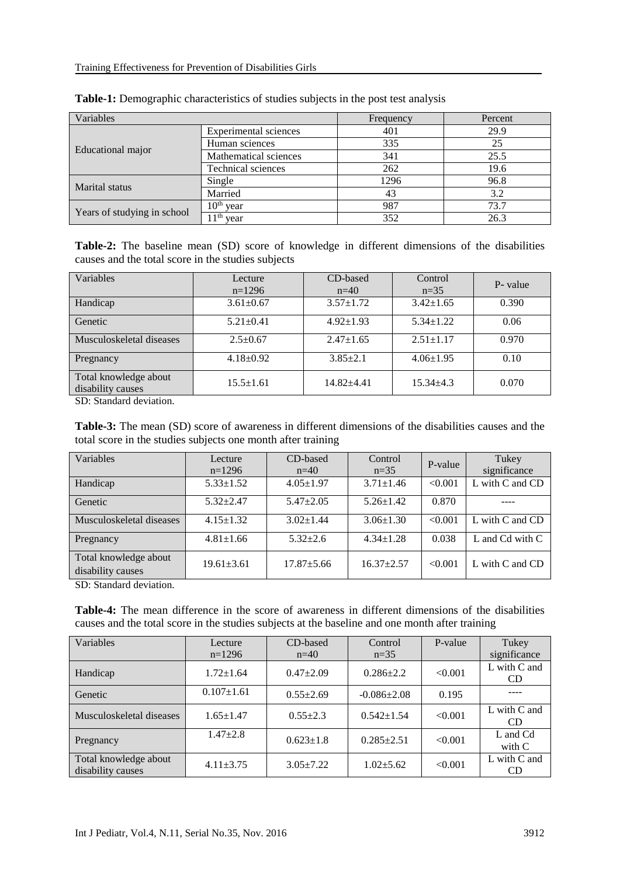| Variables                   |                              | Frequency | Percent |  |
|-----------------------------|------------------------------|-----------|---------|--|
| Educational major           | <b>Experimental sciences</b> | 401       | 29.9    |  |
|                             | Human sciences               | 335       | 25      |  |
|                             | Mathematical sciences        | 341       | 25.5    |  |
|                             | <b>Technical sciences</b>    | 262       | 19.6    |  |
| Marital status              | Single                       | 1296      | 96.8    |  |
|                             | Married                      | 43        | 3.2     |  |
| Years of studying in school | 10 <sup>th</sup><br>vear     | 987       | 73.7    |  |
|                             | 11 <sup>th</sup><br>vear     | 352       | 26.3    |  |

| Table-1: Demographic characteristics of studies subjects in the post test analysis |  |  |  |
|------------------------------------------------------------------------------------|--|--|--|
|                                                                                    |  |  |  |

**Table-2:** The baseline mean (SD) score of knowledge in different dimensions of the disabilities causes and the total score in the studies subjects

| Variables                                  | Lecture<br>$n=1296$ | CD-based<br>$n=40$ | Control<br>$n=35$ | P- value |
|--------------------------------------------|---------------------|--------------------|-------------------|----------|
| Handicap                                   | $3.61 \pm 0.67$     | $3.57 + 1.72$      | $3.42 \pm 1.65$   | 0.390    |
| Genetic                                    | $5.21 \pm 0.41$     | $4.92 \pm 1.93$    | $5.34 \pm 1.22$   | 0.06     |
| Musculoskeletal diseases                   | $2.5+0.67$          | $2.47 \pm 1.65$    | $2.51 \pm 1.17$   | 0.970    |
| Pregnancy                                  | $4.18 \pm 0.92$     | $3.85 \pm 2.1$     | $4.06 \pm 1.95$   | 0.10     |
| Total knowledge about<br>disability causes | $15.5 \pm 1.61$     | $14.82 + 4.41$     | $15.34 \pm 4.3$   | 0.070    |

SD: Standard deviation.

**Table-3:** The mean (SD) score of awareness in different dimensions of the disabilities causes and the total score in the studies subjects one month after training

| Variables                                  | Lecture<br>$n=1296$ | CD-based<br>$n=40$ | Control<br>$n=35$ | P-value | Tukey<br>significance |
|--------------------------------------------|---------------------|--------------------|-------------------|---------|-----------------------|
| Handicap                                   | $5.33 \pm 1.52$     | $4.05 \pm 1.97$    | $3.71 \pm 1.46$   | < 0.001 | L with C and CD       |
| Genetic                                    | $5.32 + 2.47$       | $5.47 + 2.05$      | $5.26 \pm 1.42$   | 0.870   |                       |
| Musculoskeletal diseases                   | $4.15 \pm 1.32$     | $3.02 \pm 1.44$    | $3.06 \pm 1.30$   | < 0.001 | L with C and CD       |
| Pregnancy                                  | $4.81 \pm 1.66$     | $5.32 \pm 2.6$     | $4.34 \pm 1.28$   | 0.038   | L and Cd with C       |
| Total knowledge about<br>disability causes | $19.61 \pm 3.61$    | $17.87 \pm 5.66$   | $16.37 + 2.57$    | < 0.001 | L with C and CD       |

SD: Standard deviation.

**Table-4:** The mean difference in the score of awareness in different dimensions of the disabilities causes and the total score in the studies subjects at the baseline and one month after training

| Variables                                  | Lecture<br>$n=1296$ | CD-based<br>$n=40$ | Control<br>$n=35$ | P-value | Tukey<br>significance |
|--------------------------------------------|---------------------|--------------------|-------------------|---------|-----------------------|
| Handicap                                   | $1.72 \pm 1.64$     | $0.47 \pm 2.09$    | $0.286 + 2.2$     | < 0.001 | L with C and<br>CD.   |
| Genetic                                    | $0.107 \pm 1.61$    | $0.55 \pm 2.69$    | $-0.086 \pm 2.08$ | 0.195   |                       |
| Musculoskeletal diseases                   | $1.65 \pm 1.47$     | $0.55 \pm 2.3$     | $0.542 \pm 1.54$  | < 0.001 | L with C and<br>CD.   |
| Pregnancy                                  | $1.47 \pm 2.8$      | $0.623 \pm 1.8$    | $0.285 \pm 2.51$  | < 0.001 | L and Cd<br>with $C$  |
| Total knowledge about<br>disability causes | $4.11 \pm 3.75$     | $3.05 + 7.22$      | $1.02 + 5.62$     | < 0.001 | L with C and<br>CD    |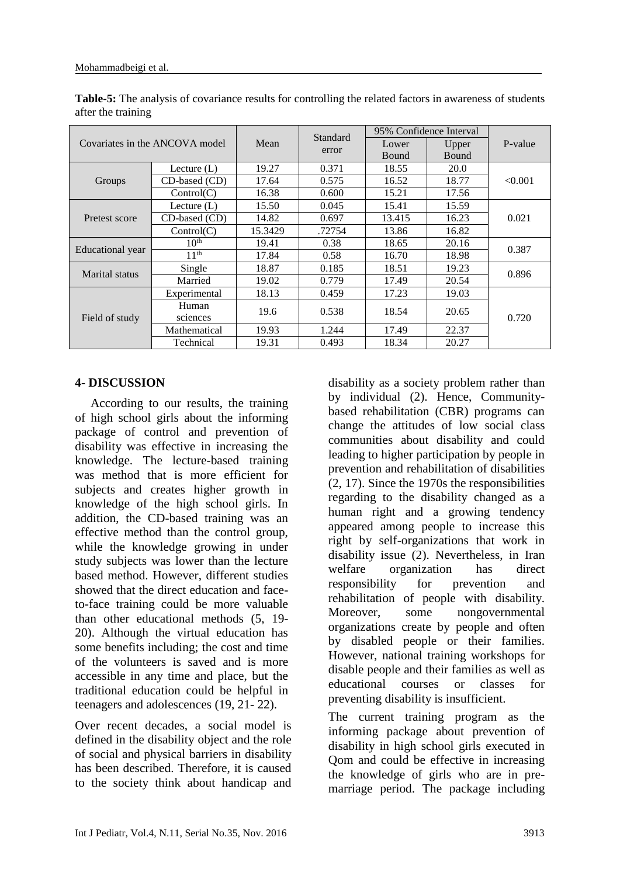| Covariates in the ANCOVA model |                      |         | Standard<br>error | 95% Confidence Interval |              |         |
|--------------------------------|----------------------|---------|-------------------|-------------------------|--------------|---------|
|                                |                      | Mean    |                   | Lower                   | Upper        | P-value |
|                                |                      |         |                   | Bound                   | <b>Bound</b> |         |
|                                | Lecture $(L)$        | 19.27   | 0.371             | 18.55                   | <b>20.0</b>  |         |
| Groups                         | CD-based (CD)        | 17.64   | 0.575             | 16.52                   | 18.77        | < 0.001 |
|                                | Control(C)           | 16.38   | 0.600             | 15.21                   | 17.56        |         |
|                                | Lecture $(L)$        | 15.50   | 0.045             | 15.41                   | 15.59        |         |
| Pretest score                  | CD-based (CD)        | 14.82   | 0.697             | 13.415                  | 16.23        | 0.021   |
|                                | Control(C)           | 15.3429 | .72754            | 13.86                   | 16.82        |         |
|                                | 10 <sup>th</sup>     | 19.41   | 0.38              | 18.65                   | 20.16        | 0.387   |
| Educational year               | $11^{\overline{th}}$ | 17.84   | 0.58              | 16.70                   | 18.98        |         |
| <b>Marital</b> status          | Single               | 18.87   | 0.185             | 18.51                   | 19.23        | 0.896   |
|                                | Married              | 19.02   | 0.779             | 17.49                   | 20.54        |         |
| Field of study                 | Experimental         | 18.13   | 0.459             | 17.23                   | 19.03        |         |
|                                | Human                | 19.6    | 0.538             | 18.54                   | 20.65        | 0.720   |
|                                | sciences             |         |                   |                         |              |         |
|                                | Mathematical         | 19.93   | 1.244             | 17.49                   | 22.37        |         |
|                                | Technical            | 19.31   | 0.493             | 18.34                   | 20.27        |         |

**Table-5:** The analysis of covariance results for controlling the related factors in awareness of students after the training

### **4- DISCUSSION**

 According to our results, the training of high school girls about the informing package of control and prevention of disability was effective in increasing the knowledge. The lecture-based training was method that is more efficient for subjects and creates higher growth in knowledge of the high school girls. In addition, the CD-based training was an effective method than the control group, while the knowledge growing in under study subjects was lower than the lecture based method. However, different studies showed that the direct education and faceto-face training could be more valuable than other educational methods (5, 19- 20). Although the virtual education has some benefits including; the cost and time of the volunteers is saved and is more accessible in any time and place, but the traditional education could be helpful in teenagers and adolescences (19, 21- 22).

Over recent decades, a social model is defined in the disability object and the role of social and physical barriers in disability has been described. Therefore, it is caused to the society think about handicap and

disability as a society problem rather than by individual (2). Hence, Communitybased rehabilitation (CBR) programs can change the attitudes of low social class communities about disability and could leading to higher participation by people in prevention and rehabilitation of disabilities (2, 17). Since the 1970s the responsibilities regarding to the disability changed as a human right and a growing tendency appeared among people to increase this right by self-organizations that work in disability issue (2). Nevertheless, in Iran welfare organization has direct responsibility for prevention and rehabilitation of people with disability. Moreover, some nongovernmental organizations create by people and often by disabled people or their families. However, national training workshops for disable people and their families as well as educational courses or classes for preventing disability is insufficient.

The current training program as the informing package about prevention of disability in high school girls executed in Qom and could be effective in increasing the knowledge of girls who are in premarriage period. The package including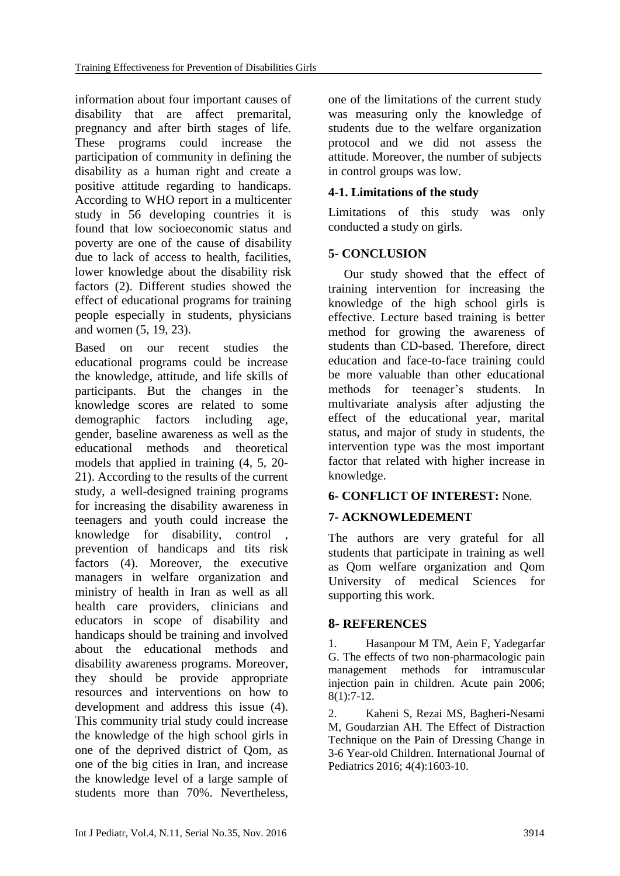information about four important causes of disability that are affect premarital, pregnancy and after birth stages of life. These programs could increase the participation of community in defining the disability as a human right and create a positive attitude regarding to handicaps. According to WHO report in a multicenter study in 56 developing countries it is found that low socioeconomic status and poverty are one of the cause of disability due to lack of access to health, facilities, lower knowledge about the disability risk factors (2). Different studies showed the effect of educational programs for training people especially in students, physicians and women (5, 19, 23).

Based on our recent studies the educational programs could be increase the knowledge, attitude, and life skills of participants. But the changes in the knowledge scores are related to some demographic factors including age, gender, baseline awareness as well as the educational methods and theoretical models that applied in training (4, 5, 20- 21). According to the results of the current study, a well-designed training programs for increasing the disability awareness in teenagers and youth could increase the knowledge for disability, control , prevention of handicaps and tits risk factors (4). Moreover, the executive managers in welfare organization and ministry of health in Iran as well as all health care providers, clinicians and educators in scope of disability and handicaps should be training and involved about the educational methods and disability awareness programs. Moreover, they should be provide appropriate resources and interventions on how to development and address this issue (4). This community trial study could increase the knowledge of the high school girls in one of the deprived district of Qom, as one of the big cities in Iran, and increase the knowledge level of a large sample of students more than 70%. Nevertheless,

one of the limitations of the current study was measuring only the knowledge of students due to the welfare organization protocol and we did not assess the attitude. Moreover, the number of subjects in control groups was low.

## **4-1. Limitations of the study**

Limitations of this study was only conducted a study on girls.

## **5- CONCLUSION**

 Our study showed that the effect of training intervention for increasing the knowledge of the high school girls is effective. Lecture based training is better method for growing the awareness of students than CD-based. Therefore, direct education and face-to-face training could be more valuable than other educational methods for teenager's students. In multivariate analysis after adjusting the effect of the educational year, marital status, and major of study in students, the intervention type was the most important factor that related with higher increase in knowledge.

## **6- CONFLICT OF INTEREST:** None.

## **7- ACKNOWLEDEMENT**

The authors are very grateful for all students that participate in training as well as Qom welfare organization and Qom University of medical Sciences for supporting this work.

## **8- REFERENCES**

1. Hasanpour M TM, Aein F, Yadegarfar G. The effects of two non-pharmacologic pain management methods for intramuscular injection pain in children. Acute pain 2006; 8(1):7-12.

2. Kaheni S, Rezai MS, Bagheri-Nesami M, Goudarzian AH. The Effect of Distraction Technique on the Pain of Dressing Change in 3-6 Year-old Children. International Journal of Pediatrics 2016; 4(4):1603-10.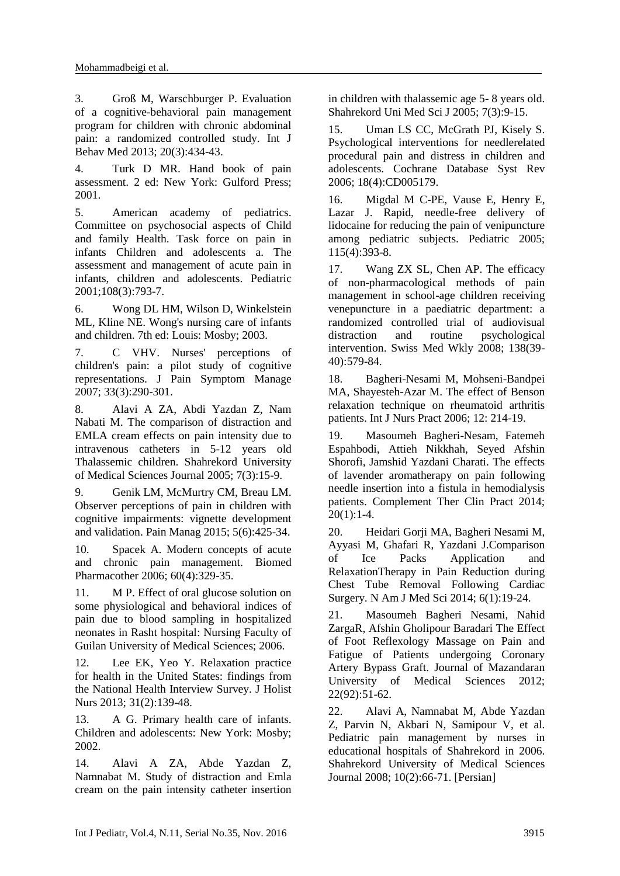3. Groß M, Warschburger P. Evaluation of a cognitive-behavioral pain management program for children with chronic abdominal pain: a randomized controlled study. Int J Behav Med 2013; 20(3):434-43.

4. Turk D MR. Hand book of pain assessment. 2 ed: New York: Gulford Press; 2001.

5. American academy of pediatrics. Committee on psychosocial aspects of Child and family Health. Task force on pain in infants Children and adolescents a. The assessment and management of acute pain in infants, children and adolescents. Pediatric 2001;108(3):793-7.

6. Wong DL HM, Wilson D, Winkelstein ML, Kline NE. Wong's nursing care of infants and children. 7th ed: Louis: Mosby; 2003.

7. C VHV. Nurses' perceptions of children's pain: a pilot study of cognitive representations. J Pain Symptom Manage 2007; 33(3):290-301.

8. Alavi A ZA, Abdi Yazdan Z, Nam Nabati M. The comparison of distraction and EMLA cream effects on pain intensity due to intravenous catheters in 5-12 years old Thalassemic children. Shahrekord University of Medical Sciences Journal 2005; 7(3):15-9.

9. Genik LM, McMurtry CM, Breau LM. Observer perceptions of pain in children with cognitive impairments: vignette development and validation. Pain Manag 2015; 5(6):425-34.

10. Spacek A. Modern concepts of acute and chronic pain management. Biomed Pharmacother 2006; 60(4):329-35.

11. M P. Effect of oral glucose solution on some physiological and behavioral indices of pain due to blood sampling in hospitalized neonates in Rasht hospital: Nursing Faculty of Guilan University of Medical Sciences; 2006.

12. Lee EK, Yeo Y. Relaxation practice for health in the United States: findings from the National Health Interview Survey. J Holist Nurs 2013; 31(2):139-48.

13. A G. Primary health care of infants. Children and adolescents: New York: Mosby; 2002.

14. Alavi A ZA, Abde Yazdan Z, Namnabat M. Study of distraction and Emla cream on the pain intensity catheter insertion in children with thalassemic age 5- 8 years old. Shahrekord Uni Med Sci J 2005; 7(3):9-15.

15. Uman LS CC, McGrath PJ, Kisely S. Psychological interventions for needlerelated procedural pain and distress in children and adolescents. Cochrane Database Syst Rev 2006; 18(4):CD005179.

16. Migdal M C-PE, Vause E, Henry E, Lazar J. Rapid, needle-free delivery of lidocaine for reducing the pain of venipuncture among pediatric subjects. Pediatric 2005; 115(4):393-8.

17. Wang ZX SL, Chen AP. The efficacy of non-pharmacological methods of pain management in school-age children receiving venepuncture in a paediatric department: a randomized controlled trial of audiovisual distraction and routine psychological intervention. Swiss Med Wkly 2008; 138(39- 40):579-84.

18. Bagheri-Nesami M, Mohseni-Bandpei MA, Shayesteh-Azar M. The effect of Benson relaxation technique on rheumatoid arthritis patients. Int J Nurs Pract 2006; 12: 214-19.

19. Masoumeh Bagheri-Nesam, Fatemeh Espahbodi, Attieh Nikkhah, Seyed Afshin Shorofi, Jamshid Yazdani Charati. The effects of lavender aromatherapy on pain following needle insertion into a fistula in hemodialysis patients. Complement Ther Clin Pract 2014;  $20(1):1-4.$ 

20. Heidari Gorji MA, Bagheri Nesami M, Ayyasi M, Ghafari R, Yazdani J.Comparison of Ice Packs Application and RelaxationTherapy in Pain Reduction during Chest Tube Removal Following Cardiac Surgery. N Am J Med Sci 2014; 6(1):19-24.

21. Masoumeh Bagheri Nesami, Nahid ZargaR, Afshin Gholipour Baradari The Effect of Foot Reflexology Massage on Pain and Fatigue of Patients undergoing Coronary Artery Bypass Graft. Journal of Mazandaran University of Medical Sciences 2012; 22(92):51-62.

22. Alavi A, Namnabat M, Abde Yazdan Z, Parvin N, Akbari N, Samipour V, et al. Pediatric pain management by nurses in educational hospitals of Shahrekord in 2006. Shahrekord University of Medical Sciences Journal 2008; 10(2):66-71. [Persian]